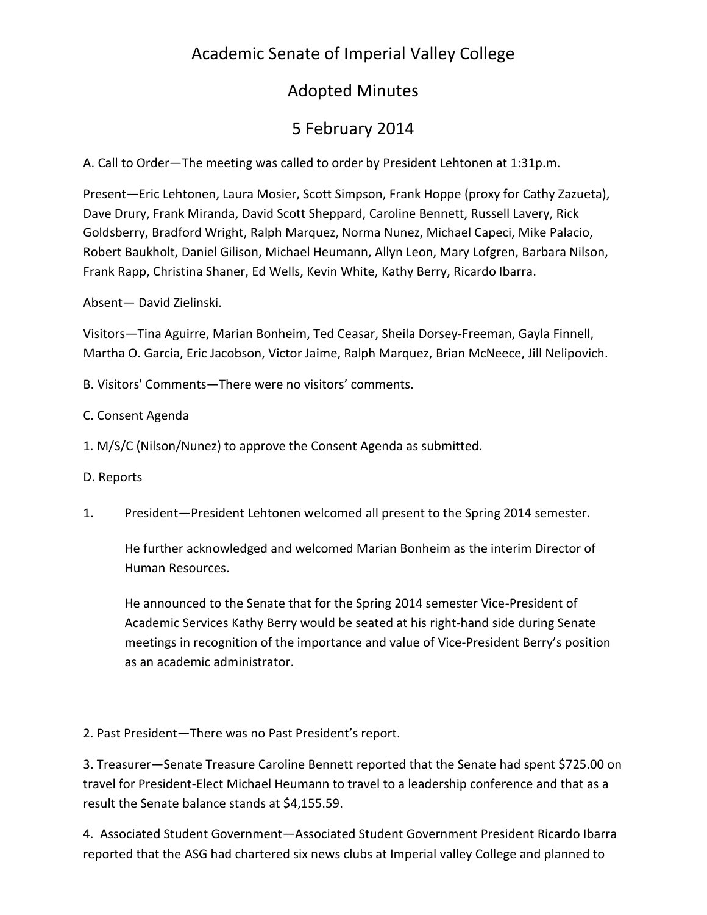# Academic Senate of Imperial Valley College

### Adopted Minutes

# 5 February 2014

A. Call to Order—The meeting was called to order by President Lehtonen at 1:31p.m.

Present—Eric Lehtonen, Laura Mosier, Scott Simpson, Frank Hoppe (proxy for Cathy Zazueta), Dave Drury, Frank Miranda, David Scott Sheppard, Caroline Bennett, Russell Lavery, Rick Goldsberry, Bradford Wright, Ralph Marquez, Norma Nunez, Michael Capeci, Mike Palacio, Robert Baukholt, Daniel Gilison, Michael Heumann, Allyn Leon, Mary Lofgren, Barbara Nilson, Frank Rapp, Christina Shaner, Ed Wells, Kevin White, Kathy Berry, Ricardo Ibarra.

Absent— David Zielinski.

Visitors—Tina Aguirre, Marian Bonheim, Ted Ceasar, Sheila Dorsey-Freeman, Gayla Finnell, Martha O. Garcia, Eric Jacobson, Victor Jaime, Ralph Marquez, Brian McNeece, Jill Nelipovich.

B. Visitors' Comments—There were no visitors' comments.

C. Consent Agenda

- 1. M/S/C (Nilson/Nunez) to approve the Consent Agenda as submitted.
- D. Reports
- 1. President—President Lehtonen welcomed all present to the Spring 2014 semester.

He further acknowledged and welcomed Marian Bonheim as the interim Director of Human Resources.

He announced to the Senate that for the Spring 2014 semester Vice-President of Academic Services Kathy Berry would be seated at his right-hand side during Senate meetings in recognition of the importance and value of Vice-President Berry's position as an academic administrator.

2. Past President—There was no Past President's report.

3. Treasurer—Senate Treasure Caroline Bennett reported that the Senate had spent \$725.00 on travel for President-Elect Michael Heumann to travel to a leadership conference and that as a result the Senate balance stands at \$4,155.59.

4. Associated Student Government—Associated Student Government President Ricardo Ibarra reported that the ASG had chartered six news clubs at Imperial valley College and planned to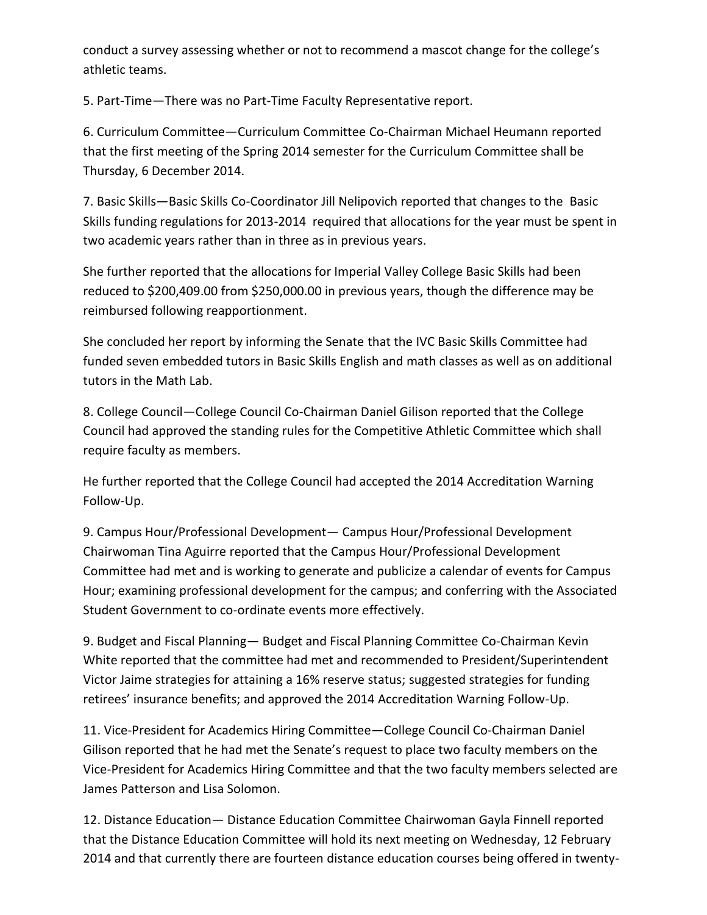conduct a survey assessing whether or not to recommend a mascot change for the college's athletic teams.

5. Part-Time—There was no Part-Time Faculty Representative report.

6. Curriculum Committee—Curriculum Committee Co-Chairman Michael Heumann reported that the first meeting of the Spring 2014 semester for the Curriculum Committee shall be Thursday, 6 December 2014.

7. Basic Skills—Basic Skills Co-Coordinator Jill Nelipovich reported that changes to the Basic Skills funding regulations for 2013-2014 required that allocations for the year must be spent in two academic years rather than in three as in previous years.

She further reported that the allocations for Imperial Valley College Basic Skills had been reduced to \$200,409.00 from \$250,000.00 in previous years, though the difference may be reimbursed following reapportionment.

She concluded her report by informing the Senate that the IVC Basic Skills Committee had funded seven embedded tutors in Basic Skills English and math classes as well as on additional tutors in the Math Lab.

8. College Council—College Council Co-Chairman Daniel Gilison reported that the College Council had approved the standing rules for the Competitive Athletic Committee which shall require faculty as members.

He further reported that the College Council had accepted the 2014 Accreditation Warning Follow-Up.

9. Campus Hour/Professional Development— Campus Hour/Professional Development Chairwoman Tina Aguirre reported that the Campus Hour/Professional Development Committee had met and is working to generate and publicize a calendar of events for Campus Hour; examining professional development for the campus; and conferring with the Associated Student Government to co-ordinate events more effectively.

9. Budget and Fiscal Planning— Budget and Fiscal Planning Committee Co-Chairman Kevin White reported that the committee had met and recommended to President/Superintendent Victor Jaime strategies for attaining a 16% reserve status; suggested strategies for funding retirees' insurance benefits; and approved the 2014 Accreditation Warning Follow-Up.

11. Vice-President for Academics Hiring Committee—College Council Co-Chairman Daniel Gilison reported that he had met the Senate's request to place two faculty members on the Vice-President for Academics Hiring Committee and that the two faculty members selected are James Patterson and Lisa Solomon.

12. Distance Education— Distance Education Committee Chairwoman Gayla Finnell reported that the Distance Education Committee will hold its next meeting on Wednesday, 12 February 2014 and that currently there are fourteen distance education courses being offered in twenty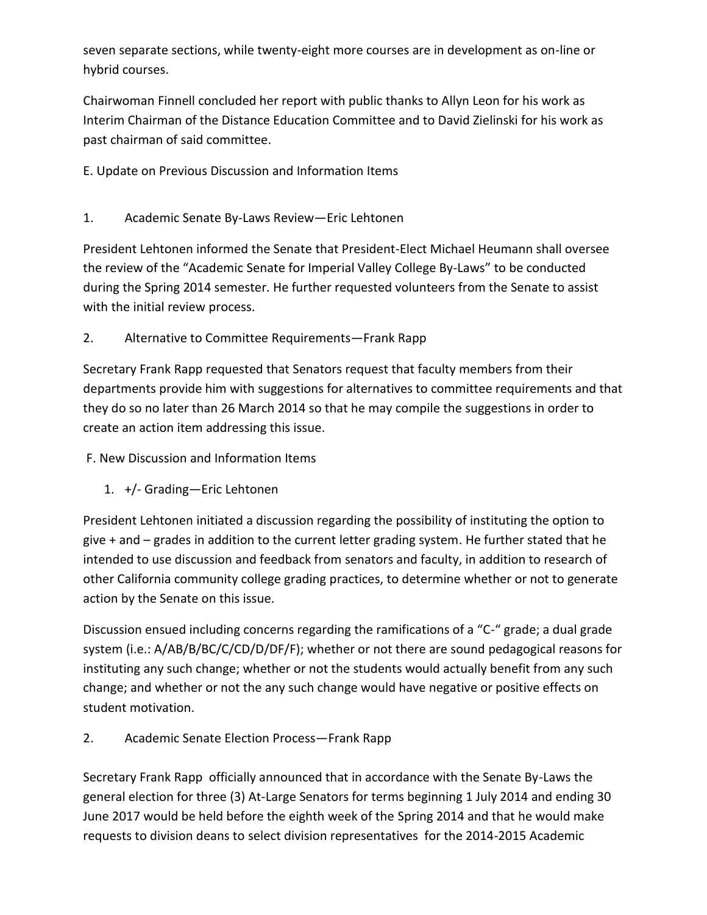seven separate sections, while twenty-eight more courses are in development as on-line or hybrid courses.

Chairwoman Finnell concluded her report with public thanks to Allyn Leon for his work as Interim Chairman of the Distance Education Committee and to David Zielinski for his work as past chairman of said committee.

E. Update on Previous Discussion and Information Items

#### 1. Academic Senate By-Laws Review—Eric Lehtonen

President Lehtonen informed the Senate that President-Elect Michael Heumann shall oversee the review of the "Academic Senate for Imperial Valley College By-Laws" to be conducted during the Spring 2014 semester. He further requested volunteers from the Senate to assist with the initial review process.

2. Alternative to Committee Requirements—Frank Rapp

Secretary Frank Rapp requested that Senators request that faculty members from their departments provide him with suggestions for alternatives to committee requirements and that they do so no later than 26 March 2014 so that he may compile the suggestions in order to create an action item addressing this issue.

- F. New Discussion and Information Items
	- 1. +/- Grading—Eric Lehtonen

President Lehtonen initiated a discussion regarding the possibility of instituting the option to give + and – grades in addition to the current letter grading system. He further stated that he intended to use discussion and feedback from senators and faculty, in addition to research of other California community college grading practices, to determine whether or not to generate action by the Senate on this issue.

Discussion ensued including concerns regarding the ramifications of a "C-" grade; a dual grade system (i.e.: A/AB/B/BC/C/CD/D/DF/F); whether or not there are sound pedagogical reasons for instituting any such change; whether or not the students would actually benefit from any such change; and whether or not the any such change would have negative or positive effects on student motivation.

2. Academic Senate Election Process—Frank Rapp

Secretary Frank Rapp officially announced that in accordance with the Senate By-Laws the general election for three (3) At-Large Senators for terms beginning 1 July 2014 and ending 30 June 2017 would be held before the eighth week of the Spring 2014 and that he would make requests to division deans to select division representatives for the 2014-2015 Academic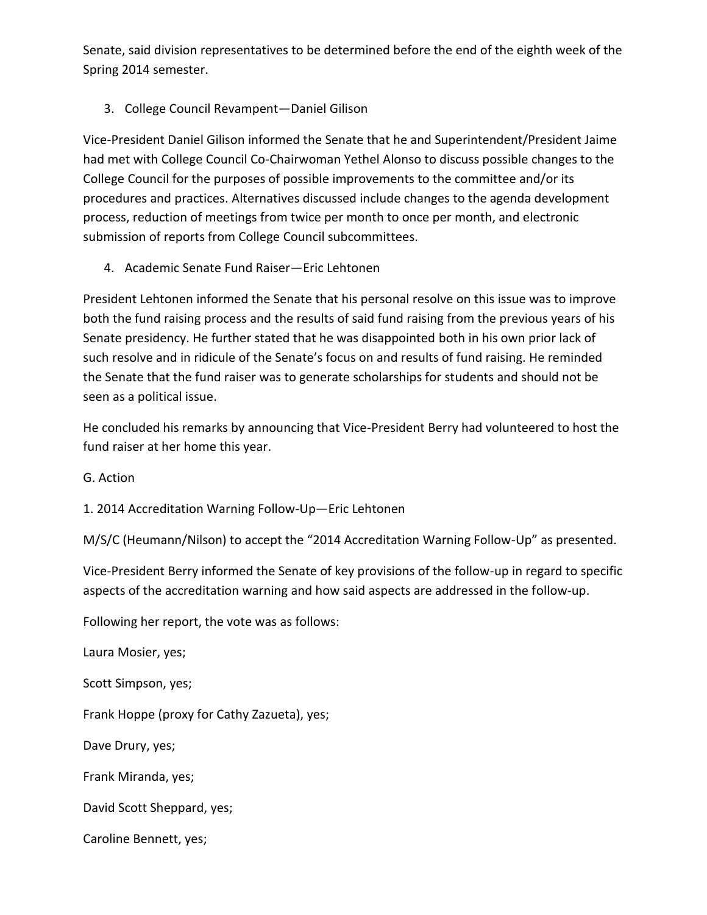Senate, said division representatives to be determined before the end of the eighth week of the Spring 2014 semester.

#### 3. College Council Revampent—Daniel Gilison

Vice-President Daniel Gilison informed the Senate that he and Superintendent/President Jaime had met with College Council Co-Chairwoman Yethel Alonso to discuss possible changes to the College Council for the purposes of possible improvements to the committee and/or its procedures and practices. Alternatives discussed include changes to the agenda development process, reduction of meetings from twice per month to once per month, and electronic submission of reports from College Council subcommittees.

4. Academic Senate Fund Raiser—Eric Lehtonen

President Lehtonen informed the Senate that his personal resolve on this issue was to improve both the fund raising process and the results of said fund raising from the previous years of his Senate presidency. He further stated that he was disappointed both in his own prior lack of such resolve and in ridicule of the Senate's focus on and results of fund raising. He reminded the Senate that the fund raiser was to generate scholarships for students and should not be seen as a political issue.

He concluded his remarks by announcing that Vice-President Berry had volunteered to host the fund raiser at her home this year.

G. Action

1. 2014 Accreditation Warning Follow-Up—Eric Lehtonen

M/S/C (Heumann/Nilson) to accept the "2014 Accreditation Warning Follow-Up" as presented.

Vice-President Berry informed the Senate of key provisions of the follow-up in regard to specific aspects of the accreditation warning and how said aspects are addressed in the follow-up.

Following her report, the vote was as follows:

Laura Mosier, yes;

Scott Simpson, yes;

Frank Hoppe (proxy for Cathy Zazueta), yes;

Dave Drury, yes;

Frank Miranda, yes;

David Scott Sheppard, yes;

Caroline Bennett, yes;